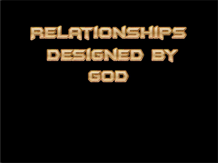



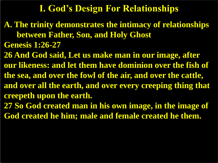## **I. God's Design For Relationships**

**A. The trinity demonstrates the intimacy of relationships between Father, Son, and Holy Ghost Genesis 1:26-27**

**26 And God said, Let us make man in our image, after our likeness: and let them have dominion over the fish of the sea, and over the fowl of the air, and over the cattle, and over all the earth, and over every creeping thing that creepeth upon the earth. 27 So God created man in his own image, in the image of** 

**God created he him; male and female created he them.**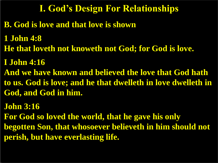## **I. God's Design For Relationships**

- **B. God is love and that love is shown**
- **1 John 4:8**
- **He that loveth not knoweth not God; for God is love.**
- **I John 4:16**
- **And we have known and believed the love that God hath to us. God is love; and he that dwelleth in love dwelleth in God, and God in him.**
- **John 3:16 For God so loved the world, that he gave his only begotten Son, that whosoever believeth in him should not perish, but have everlasting life.**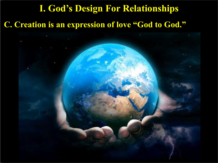# **I. God's Design For Relationships**

### **C. Creation is an expression of love "God to God."**

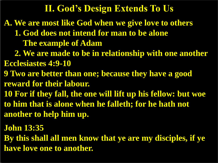## **II. God's Design Extends To Us**

- **A. We are most like God when we give love to others**
	- **1. God does not intend for man to be alone The example of Adam**
- **2. We are made to be in relationship with one another Ecclesiastes 4:9-10**
- **9 Two are better than one; because they have a good reward for their labour.**
- **10 For if they fall, the one will lift up his fellow: but woe to him that is alone when he falleth; for he hath not another to help him up.**
- **John 13:35**
- **By this shall all men know that ye are my disciples, if ye have love one to another.**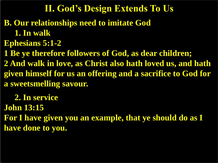## **II. God's Design Extends To Us**

- **B. Our relationships need to imitate God**
	- **1. In walk**
- **Ephesians 5:1-2**

**1 Be ye therefore followers of God, as dear children; 2 And walk in love, as Christ also hath loved us, and hath given himself for us an offering and a sacrifice to God for a sweetsmelling savour.**

 **2. In service John 13:15 For I have given you an example, that ye should do as I have done to you.**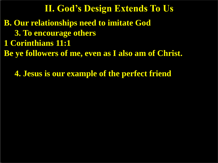**B. Our relationships need to imitate God 3. To encourage others 1 Corinthians 11:1 Be ye followers of me, even as I also am of Christ. II. God's Design Extends To Us**

 **4. Jesus is our example of the perfect friend**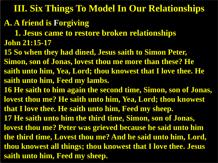## **A. A friend is Forgiving**

 **1. Jesus came to restore broken relationships John 21:15-17**

**15 So when they had dined, Jesus saith to Simon Peter, Simon, son of Jonas, lovest thou me more than these? He saith unto him, Yea, Lord; thou knowest that I love thee. He saith unto him, Feed my lambs.**

**16 He saith to him again the second time, Simon, son of Jonas, lovest thou me? He saith unto him, Yea, Lord; thou knowest that I love thee. He saith unto him, Feed my sheep.**

**17 He saith unto him the third time, Simon, son of Jonas, lovest thou me? Peter was grieved because he said unto him the third time, Lovest thou me? And he said unto him, Lord, thou knowest all things; thou knowest that I love thee. Jesus saith unto him, Feed my sheep.**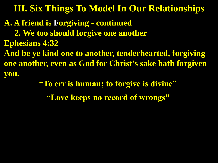**A. A friend is Forgiving - continued**

 **2. We too should forgive one another** 

**Ephesians 4:32**

**And be ye kind one to another, tenderhearted, forgiving one another, even as God for Christ's sake hath forgiven you.**

**"To err is human; to forgive is divine"**

**"Love keeps no record of wrongs"**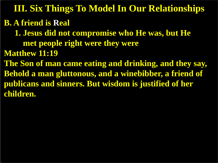**B. A friend is Real 1. Jesus did not compromise who He was, but He met people right were they were Matthew 11:19 The Son of man came eating and drinking, and they say, Behold a man gluttonous, and a winebibber, a friend of publicans and sinners. But wisdom is justified of her children. III. Six Things To Model In Our Relationships**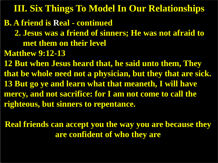#### **B. A friend is Real - continued**

- **2. Jesus was a friend of sinners; He was not afraid to met them on their level**
- **Matthew 9:12-13**

**12 But when Jesus heard that, he said unto them, They that be whole need not a physician, but they that are sick. 13 But go ye and learn what that meaneth, I will have mercy, and not sacrifice: for I am not come to call the righteous, but sinners to repentance.**

**Real friends can accept you the way you are because they are confident of who they are**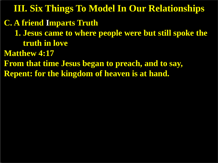#### **C. A friend Imparts Truth**

- **1. Jesus came to where people were but still spoke the truth in love**
- **Matthew 4:17**
- **From that time Jesus began to preach, and to say, Repent: for the kingdom of heaven is at hand.**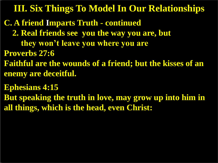- **C. A friend Imparts Truth - continued**
	- **2. Real friends see you the way you are, but** 
		- **they won't leave you where you are**
- **Proverbs 27:6**
- **Faithful are the wounds of a friend; but the kisses of an enemy are deceitful.**
- **Ephesians 4:15**
- **But speaking the truth in love, may grow up into him in all things, which is the head, even Christ:**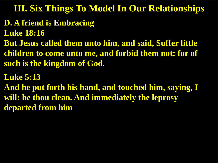# **D. A friend is Embracing**

**Luke 18:16**

**But Jesus called them unto him, and said, Suffer little children to come unto me, and forbid them not: for of such is the kingdom of God.**

#### **Luke 5:13**

**And he put forth his hand, and touched him, saying, I will: be thou clean. And immediately the leprosy departed from him**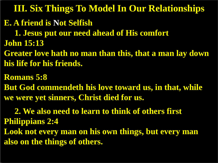#### **E. A friend is Not Selfish**

 **1. Jesus put our need ahead of His comfort John 15:13**

**Greater love hath no man than this, that a man lay down his life for his friends.**

**Romans 5:8 But God commendeth his love toward us, in that, while we were yet sinners, Christ died for us.**

 **2. We also need to learn to think of others first Philippians 2:4**

**Look not every man on his own things, but every man also on the things of others.**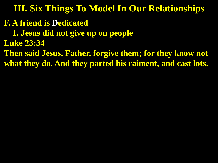- **F. A friend is Dedicated**
	- **1. Jesus did not give up on people**
- **Luke 23:34**
- **Then said Jesus, Father, forgive them; for they know not what they do. And they parted his raiment, and cast lots.**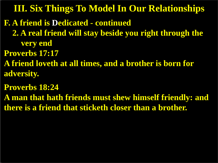- **F. A friend is Dedicated - continued**
	- **2. A real friend will stay beside you right through the very end**
- **Proverbs 17:17**
- **A friend loveth at all times, and a brother is born for adversity.**
- **Proverbs 18:24**
- **A man that hath friends must shew himself friendly: and there is a friend that sticketh closer than a brother.**